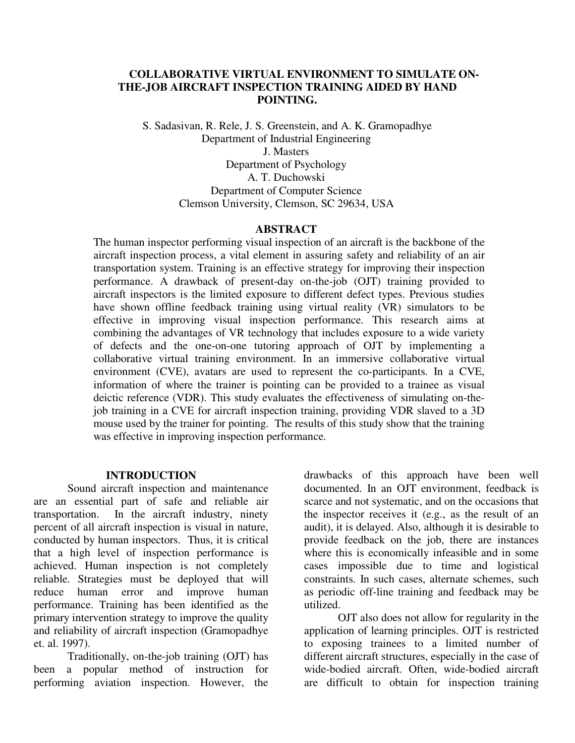# **COLLABORATIVE VIRTUAL ENVIRONMENT TO SIMULATE ON-THE-JOB AIRCRAFT INSPECTION TRAINING AIDED BY HAND POINTING.**

S. Sadasivan, R. Rele, J. S. Greenstein, and A. K. Gramopadhye Department of Industrial Engineering J. Masters Department of Psychology A. T. Duchowski Department of Computer Science Clemson University, Clemson, SC 29634, USA

#### **ABSTRACT**

The human inspector performing visual inspection of an aircraft is the backbone of the aircraft inspection process, a vital element in assuring safety and reliability of an air transportation system. Training is an effective strategy for improving their inspection performance. A drawback of present-day on-the-job (OJT) training provided to aircraft inspectors is the limited exposure to different defect types. Previous studies have shown offline feedback training using virtual reality (VR) simulators to be effective in improving visual inspection performance. This research aims at combining the advantages of VR technology that includes exposure to a wide variety of defects and the one-on-one tutoring approach of OJT by implementing a collaborative virtual training environment. In an immersive collaborative virtual environment (CVE), avatars are used to represent the co-participants. In a CVE, information of where the trainer is pointing can be provided to a trainee as visual deictic reference (VDR). This study evaluates the effectiveness of simulating on-thejob training in a CVE for aircraft inspection training, providing VDR slaved to a 3D mouse used by the trainer for pointing. The results of this study show that the training was effective in improving inspection performance.

### **INTRODUCTION**

Sound aircraft inspection and maintenance are an essential part of safe and reliable air transportation. In the aircraft industry, ninety percent of all aircraft inspection is visual in nature, conducted by human inspectors. Thus, it is critical that a high level of inspection performance is achieved. Human inspection is not completely reliable. Strategies must be deployed that will reduce human error and improve human performance. Training has been identified as the primary intervention strategy to improve the quality and reliability of aircraft inspection (Gramopadhye et. al. 1997).

Traditionally, on-the-job training (OJT) has been a popular method of instruction for performing aviation inspection. However, the drawbacks of this approach have been well documented. In an OJT environment, feedback is scarce and not systematic, and on the occasions that the inspector receives it (e.g., as the result of an audit), it is delayed. Also, although it is desirable to provide feedback on the job, there are instances where this is economically infeasible and in some cases impossible due to time and logistical constraints. In such cases, alternate schemes, such as periodic off-line training and feedback may be utilized.

OJT also does not allow for regularity in the application of learning principles. OJT is restricted to exposing trainees to a limited number of different aircraft structures, especially in the case of wide-bodied aircraft. Often, wide-bodied aircraft are difficult to obtain for inspection training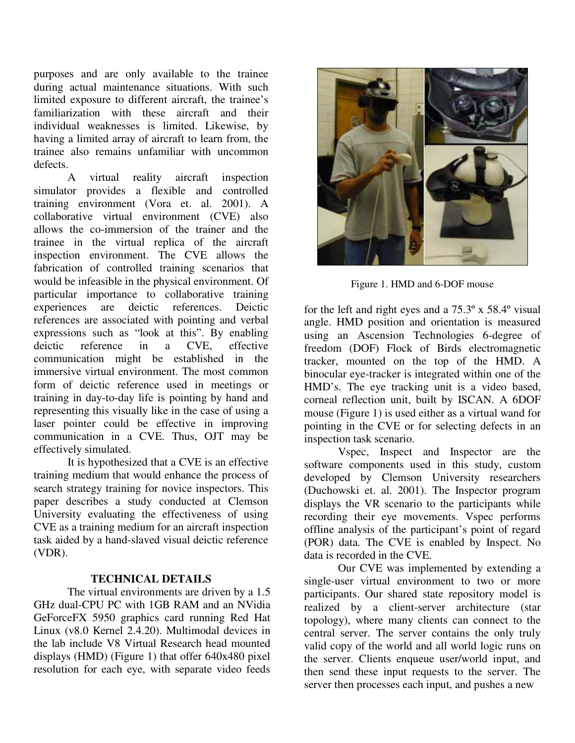purposes and are only available to the trainee during actual maintenance situations. With such limited exposure to different aircraft, the trainee's familiarization with these aircraft and their individual weaknesses is limited. Likewise, by having a limited array of aircraft to learn from, the trainee also remains unfamiliar with uncommon defects.

A virtual reality aircraft inspection simulator provides a flexible and controlled training environment (Vora et. al. 2001). A collaborative virtual environment (CVE) also allows the co-immersion of the trainer and the trainee in the virtual replica of the aircraft inspection environment. The CVE allows the fabrication of controlled training scenarios that would be infeasible in the physical environment. Of particular importance to collaborative training experiences are deictic references. Deictic references are associated with pointing and verbal expressions such as "look at this". By enabling deictic reference in a CVE, effective communication might be established in the immersive virtual environment. The most common form of deictic reference used in meetings or training in day-to-day life is pointing by hand and representing this visually like in the case of using a laser pointer could be effective in improving communication in a CVE. Thus, OJT may be effectively simulated.

It is hypothesized that a CVE is an effective training medium that would enhance the process of search strategy training for novice inspectors. This paper describes a study conducted at Clemson University evaluating the effectiveness of using CVE as a training medium for an aircraft inspection task aided by a hand-slaved visual deictic reference (VDR).

# **TECHNICAL DETAILS**

The virtual environments are driven by a 1.5 GHz dual-CPU PC with 1GB RAM and an NVidia GeForceFX 5950 graphics card running Red Hat Linux (v8.0 Kernel 2.4.20). Multimodal devices in the lab include V8 Virtual Research head mounted displays (HMD) (Figure 1) that offer 640x480 pixel resolution for each eye, with separate video feeds



Figure 1. HMD and 6-DOF mouse

for the left and right eyes and a  $75.3^\circ$  x  $58.4^\circ$  visual angle. HMD position and orientation is measured using an Ascension Technologies 6-degree of freedom (DOF) Flock of Birds electromagnetic tracker, mounted on the top of the HMD. A binocular eye-tracker is integrated within one of the HMD's. The eye tracking unit is a video based, corneal reflection unit, built by ISCAN. A 6DOF mouse (Figure 1) is used either as a virtual wand for pointing in the CVE or for selecting defects in an inspection task scenario.

Vspec, Inspect and Inspector are the software components used in this study, custom developed by Clemson University researchers (Duchowski et. al. 2001). The Inspector program displays the VR scenario to the participants while recording their eye movements. Vspec performs offline analysis of the participant's point of regard (POR) data. The CVE is enabled by Inspect. No data is recorded in the CVE.

Our CVE was implemented by extending a single-user virtual environment to two or more participants. Our shared state repository model is realized by a client-server architecture (star topology), where many clients can connect to the central server. The server contains the only truly valid copy of the world and all world logic runs on the server. Clients enqueue user/world input, and then send these input requests to the server. The server then processes each input, and pushes a new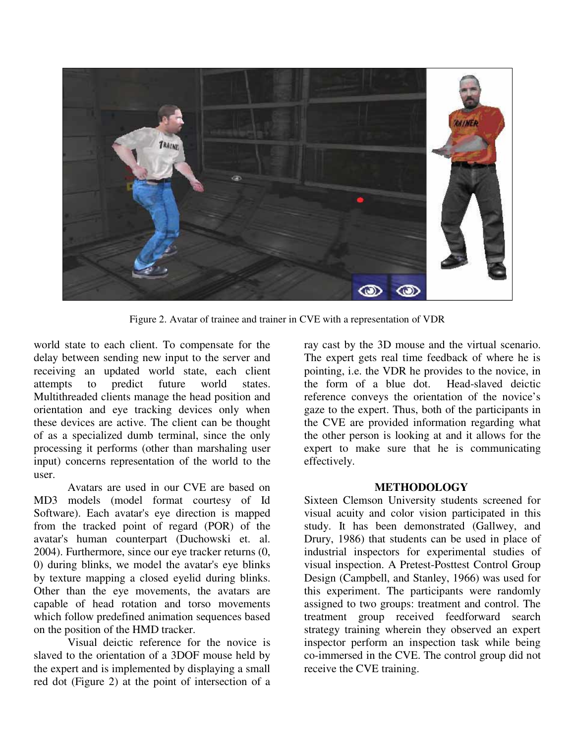

Figure 2. Avatar of trainee and trainer in CVE with a representation of VDR

world state to each client. To compensate for the delay between sending new input to the server and receiving an updated world state, each client attempts to predict future world states. Multithreaded clients manage the head position and orientation and eye tracking devices only when these devices are active. The client can be thought of as a specialized dumb terminal, since the only processing it performs (other than marshaling user input) concerns representation of the world to the user.

Avatars are used in our CVE are based on MD3 models (model format courtesy of Id Software). Each avatar's eye direction is mapped from the tracked point of regard (POR) of the avatar's human counterpart (Duchowski et. al. 2004). Furthermore, since our eye tracker returns (0, 0) during blinks, we model the avatar's eye blinks by texture mapping a closed eyelid during blinks. Other than the eye movements, the avatars are capable of head rotation and torso movements which follow predefined animation sequences based on the position of the HMD tracker.

Visual deictic reference for the novice is slaved to the orientation of a 3DOF mouse held by the expert and is implemented by displaying a small red dot (Figure 2) at the point of intersection of a ray cast by the 3D mouse and the virtual scenario. The expert gets real time feedback of where he is pointing, i.e. the VDR he provides to the novice, in the form of a blue dot. Head-slaved deictic reference conveys the orientation of the novice's gaze to the expert. Thus, both of the participants in the CVE are provided information regarding what the other person is looking at and it allows for the expert to make sure that he is communicating effectively.

# **METHODOLOGY**

Sixteen Clemson University students screened for visual acuity and color vision participated in this study. It has been demonstrated (Gallwey, and Drury, 1986) that students can be used in place of industrial inspectors for experimental studies of visual inspection. A Pretest-Posttest Control Group Design (Campbell, and Stanley, 1966) was used for this experiment. The participants were randomly assigned to two groups: treatment and control. The treatment group received feedforward search strategy training wherein they observed an expert inspector perform an inspection task while being co-immersed in the CVE. The control group did not receive the CVE training.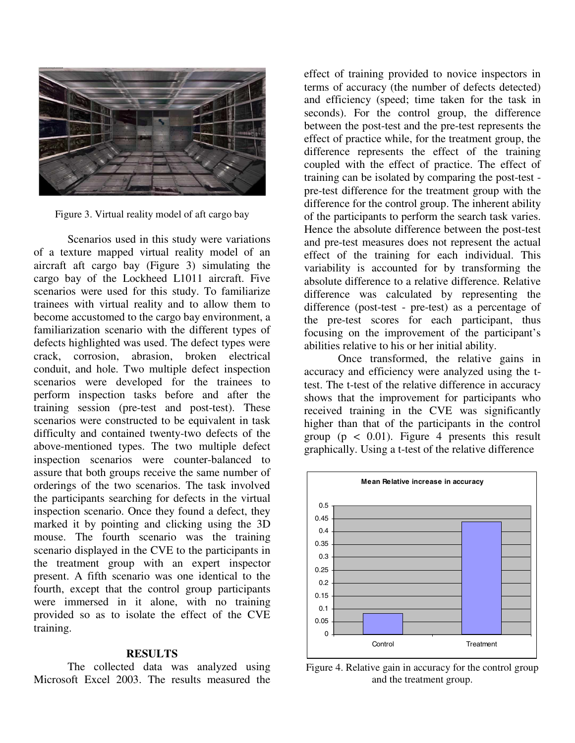

Figure 3. Virtual reality model of aft cargo bay

Scenarios used in this study were variations of a texture mapped virtual reality model of an aircraft aft cargo bay (Figure 3) simulating the cargo bay of the Lockheed L1011 aircraft. Five scenarios were used for this study. To familiarize trainees with virtual reality and to allow them to become accustomed to the cargo bay environment, a familiarization scenario with the different types of defects highlighted was used. The defect types were crack, corrosion, abrasion, broken electrical conduit, and hole. Two multiple defect inspection scenarios were developed for the trainees to perform inspection tasks before and after the training session (pre-test and post-test). These scenarios were constructed to be equivalent in task difficulty and contained twenty-two defects of the above-mentioned types. The two multiple defect inspection scenarios were counter-balanced to assure that both groups receive the same number of orderings of the two scenarios. The task involved the participants searching for defects in the virtual inspection scenario. Once they found a defect, they marked it by pointing and clicking using the 3D mouse. The fourth scenario was the training scenario displayed in the CVE to the participants in the treatment group with an expert inspector present. A fifth scenario was one identical to the fourth, except that the control group participants were immersed in it alone, with no training provided so as to isolate the effect of the CVE training.

#### **RESULTS**

The collected data was analyzed using Microsoft Excel 2003. The results measured the

effect of training provided to novice inspectors in terms of accuracy (the number of defects detected) and efficiency (speed; time taken for the task in seconds). For the control group, the difference between the post-test and the pre-test represents the effect of practice while, for the treatment group, the difference represents the effect of the training coupled with the effect of practice. The effect of training can be isolated by comparing the post-test pre-test difference for the treatment group with the difference for the control group. The inherent ability of the participants to perform the search task varies. Hence the absolute difference between the post-test and pre-test measures does not represent the actual effect of the training for each individual. This variability is accounted for by transforming the absolute difference to a relative difference. Relative difference was calculated by representing the difference (post-test - pre-test) as a percentage of the pre-test scores for each participant, thus focusing on the improvement of the participant's abilities relative to his or her initial ability.

Once transformed, the relative gains in accuracy and efficiency were analyzed using the ttest. The t-test of the relative difference in accuracy shows that the improvement for participants who received training in the CVE was significantly higher than that of the participants in the control group ( $p < 0.01$ ). Figure 4 presents this result graphically. Using a t-test of the relative difference



Figure 4. Relative gain in accuracy for the control group and the treatment group.